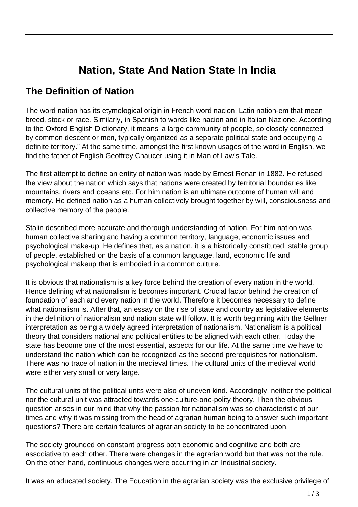# **Nation, State And Nation State In India**

#### **The Definition of Nation**

The word nation has its etymological origin in French word nacion, Latin nation-em that mean breed, stock or race. Similarly, in Spanish to words like nacion and in Italian Nazione. According to the Oxford English Dictionary, it means 'a large community of people, so closely connected by common descent or men, typically organized as a separate political state and occupying a definite territory." At the same time, amongst the first known usages of the word in English, we find the father of English Geoffrey Chaucer using it in Man of Law's Tale.

The first attempt to define an entity of nation was made by Ernest Renan in 1882. He refused the view about the nation which says that nations were created by territorial boundaries like mountains, rivers and oceans etc. For him nation is an ultimate outcome of human will and memory. He defined nation as a human collectively brought together by will, consciousness and collective memory of the people.

Stalin described more accurate and thorough understanding of nation. For him nation was human collective sharing and having a common territory, language, economic issues and psychological make-up. He defines that, as a nation, it is a historically constituted, stable group of people, established on the basis of a common language, land, economic life and psychological makeup that is embodied in a common culture.

It is obvious that nationalism is a key force behind the creation of every nation in the world. Hence defining what nationalism is becomes important. Crucial factor behind the creation of foundation of each and every nation in the world. Therefore it becomes necessary to define what nationalism is. After that, an essay on the rise of state and country as legislative elements in the definition of nationalism and nation state will follow. It is worth beginning with the Gellner interpretation as being a widely agreed interpretation of nationalism. Nationalism is a political theory that considers national and political entities to be aligned with each other. Today the state has become one of the most essential, aspects for our life. At the same time we have to understand the nation which can be recognized as the second prerequisites for nationalism. There was no trace of nation in the medieval times. The cultural units of the medieval world were either very small or very large.

The cultural units of the political units were also of uneven kind. Accordingly, neither the political nor the cultural unit was attracted towards one-culture-one-polity theory. Then the obvious question arises in our mind that why the passion for nationalism was so characteristic of our times and why it was missing from the head of agrarian human being to answer such important questions? There are certain features of agrarian society to be concentrated upon.

The society grounded on constant progress both economic and cognitive and both are associative to each other. There were changes in the agrarian world but that was not the rule. On the other hand, continuous changes were occurring in an Industrial society.

It was an educated society. The Education in the agrarian society was the exclusive privilege of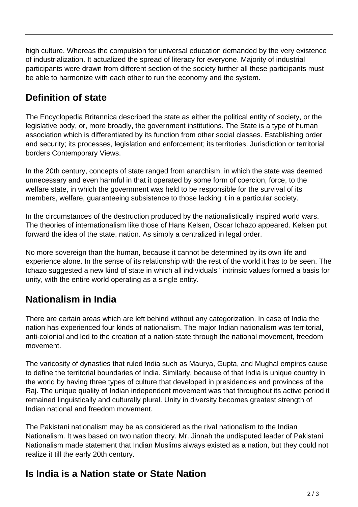high culture. Whereas the compulsion for universal education demanded by the very existence of industrialization. It actualized the spread of literacy for everyone. Majority of industrial participants were drawn from different section of the society further all these participants must be able to harmonize with each other to run the economy and the system.

### **Definition of state**

The Encyclopedia Britannica described the state as either the political entity of society, or the legislative body, or, more broadly, the government institutions. The State is a type of human association which is differentiated by its function from other social classes. Establishing order and security; its processes, legislation and enforcement; its territories. Jurisdiction or territorial borders Contemporary Views.

In the 20th century, concepts of state ranged from anarchism, in which the state was deemed unnecessary and even harmful in that it operated by some form of coercion, force, to the welfare state, in which the government was held to be responsible for the survival of its members, welfare, guaranteeing subsistence to those lacking it in a particular society.

In the circumstances of the destruction produced by the nationalistically inspired world wars. The theories of internationalism like those of Hans Kelsen, Oscar Ichazo appeared. Kelsen put forward the idea of the state, nation. As simply a centralized in legal order.

No more sovereign than the human, because it cannot be determined by its own life and experience alone. In the sense of its relationship with the rest of the world it has to be seen. The Ichazo suggested a new kind of state in which all individuals ' intrinsic values formed a basis for unity, with the entire world operating as a single entity.

## **Nationalism in India**

There are certain areas which are left behind without any categorization. In case of India the nation has experienced four kinds of nationalism. The major Indian nationalism was territorial, anti-colonial and led to the creation of a nation-state through the national movement, freedom movement.

The varicosity of dynasties that ruled India such as Maurya, Gupta, and Mughal empires cause to define the territorial boundaries of India. Similarly, because of that India is unique country in the world by having three types of culture that developed in presidencies and provinces of the Raj. The unique quality of Indian independent movement was that throughout its active period it remained linguistically and culturally plural. Unity in diversity becomes greatest strength of Indian national and freedom movement.

The Pakistani nationalism may be as considered as the rival nationalism to the Indian Nationalism. It was based on two nation theory. Mr. Jinnah the undisputed leader of Pakistani Nationalism made statement that Indian Muslims always existed as a nation, but they could not realize it till the early 20th century.

### **Is India is a Nation state or State Nation**